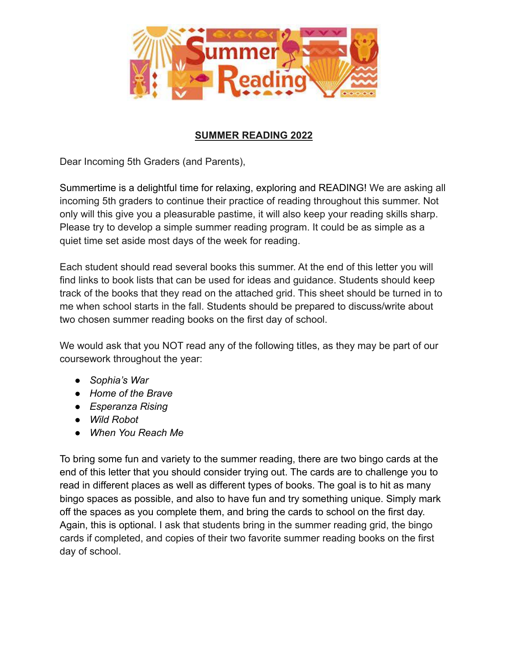

## **SUMMER READING 2022**

Dear Incoming 5th Graders (and Parents),

Summertime is a delightful time for relaxing, exploring and READING! We are asking all incoming 5th graders to continue their practice of reading throughout this summer. Not only will this give you a pleasurable pastime, it will also keep your reading skills sharp. Please try to develop a simple summer reading program. It could be as simple as a quiet time set aside most days of the week for reading.

Each student should read several books this summer. At the end of this letter you will find links to book lists that can be used for ideas and guidance. Students should keep track of the books that they read on the attached grid. This sheet should be turned in to me when school starts in the fall. Students should be prepared to discuss/write about two chosen summer reading books on the first day of school.

We would ask that you NOT read any of the following titles, as they may be part of our coursework throughout the year:

- *● Sophia's War*
- *● Home of the Brave*
- *● Esperanza Rising*
- *● Wild Robot*
- *● When You Reach Me*

To bring some fun and variety to the summer reading, there are two bingo cards at the end of this letter that you should consider trying out. The cards are to challenge you to read in different places as well as different types of books. The goal is to hit as many bingo spaces as possible, and also to have fun and try something unique. Simply mark off the spaces as you complete them, and bring the cards to school on the first day. Again, this is optional. I ask that students bring in the summer reading grid, the bingo cards if completed, and copies of their two favorite summer reading books on the first day of school.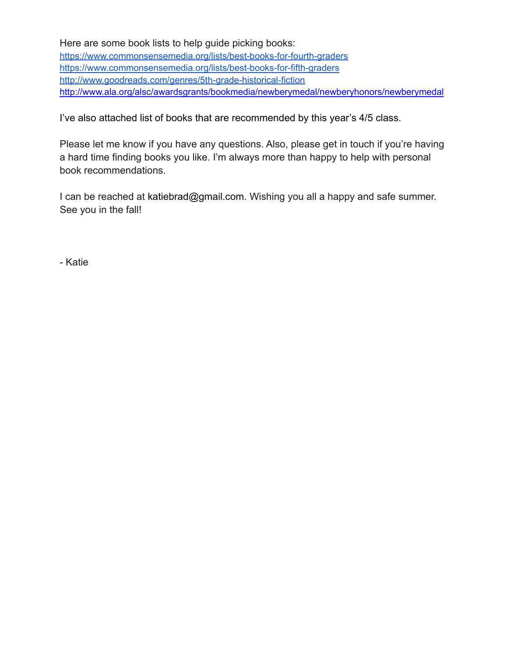Here are some book lists to help guide picking books: <https://www.commonsensemedia.org/lists/best-books-for-fourth-graders> <https://www.commonsensemedia.org/lists/best-books-for-fifth-graders> <http://www.goodreads.com/genres/5th-grade-historical-fiction> <http://www.ala.org/alsc/awardsgrants/bookmedia/newberymedal/newberyhonors/newberymedal>

I've also attached list of books that are recommended by this year's 4/5 class.

Please let me know if you have any questions. Also, please get in touch if you're having a hard time finding books you like. I'm always more than happy to help with personal book recommendations.

I can be reached at [katiebrad@gmail.com](mailto:katiebrad@gmail.com). Wishing you all a happy and safe summer. See you in the fall!

- Katie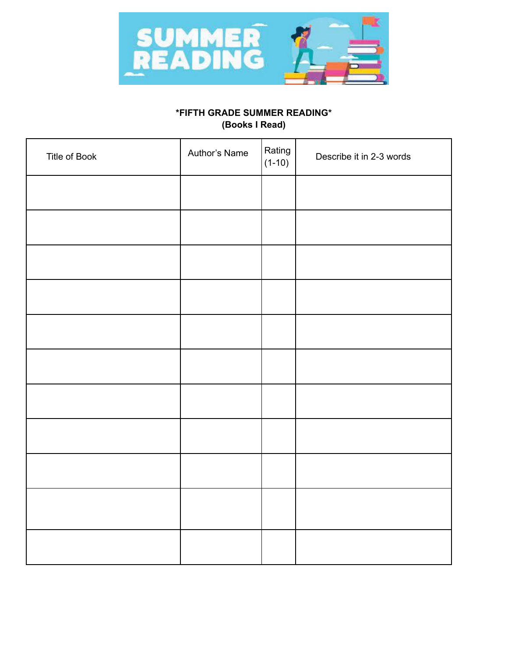

## **\*FIFTH GRADE SUMMER READING\* (Books I Read)**

| Title of Book | Author's Name | Rating<br>$(1-10)$ | Describe it in 2-3 words |
|---------------|---------------|--------------------|--------------------------|
|               |               |                    |                          |
|               |               |                    |                          |
|               |               |                    |                          |
|               |               |                    |                          |
|               |               |                    |                          |
|               |               |                    |                          |
|               |               |                    |                          |
|               |               |                    |                          |
|               |               |                    |                          |
|               |               |                    |                          |
|               |               |                    |                          |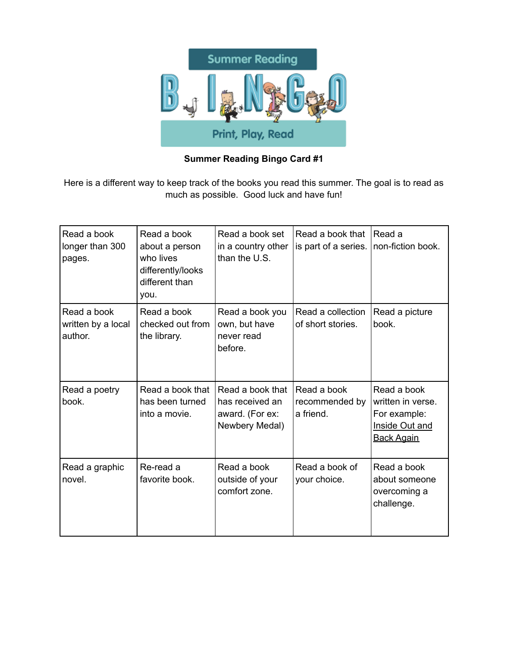

## **Summer Reading Bingo Card #1**

Here is a different way to keep track of the books you read this summer. The goal is to read as much as possible. Good luck and have fun!

| Read a book<br>longer than 300<br>pages.     | Read a book<br>about a person<br>who lives<br>differently/looks<br>different than<br>you. | Read a book set<br>in a country other<br>than the U.S.                   | Read a book that<br>is part of a series.   non-fiction book. | Read a                                                                                         |
|----------------------------------------------|-------------------------------------------------------------------------------------------|--------------------------------------------------------------------------|--------------------------------------------------------------|------------------------------------------------------------------------------------------------|
| Read a book<br>written by a local<br>author. | Read a book<br>checked out from<br>the library.                                           | Read a book you<br>own, but have<br>never read<br>before.                | Read a collection<br>of short stories.                       | Read a picture<br>book.                                                                        |
| Read a poetry<br>book.                       | Read a book that<br>has been turned<br>into a movie.                                      | Read a book that<br>has received an<br>award. (For ex:<br>Newbery Medal) | Read a book<br>recommended by<br>a friend.                   | Read a book<br>written in verse.<br>For example:<br><b>Inside Out and</b><br><b>Back Again</b> |
| Read a graphic<br>novel.                     | Re-read a<br>favorite book.                                                               | Read a book<br>outside of your<br>comfort zone.                          | Read a book of<br>your choice.                               | Read a book<br>about someone<br>overcoming a<br>challenge.                                     |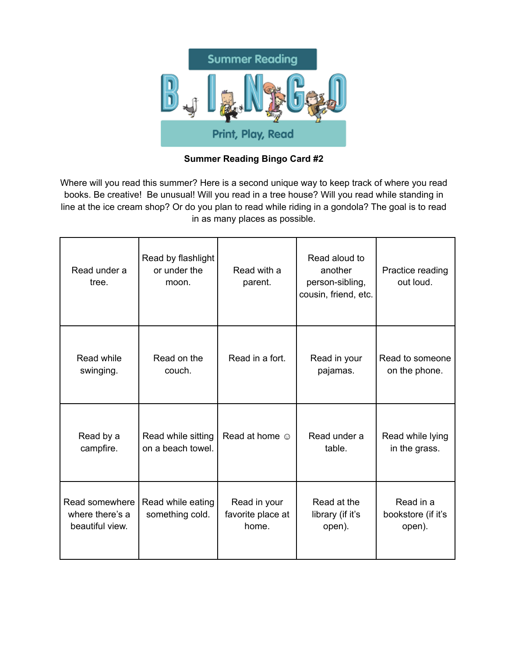

**Summer Reading Bingo Card #2**

Where will you read this summer? Here is a second unique way to keep track of where you read books. Be creative! Be unusual! Will you read in a tree house? Will you read while standing in line at the ice cream shop? Or do you plan to read while riding in a gondola? The goal is to read in as many places as possible.

| Read under a<br>tree.                                | Read by flashlight<br>or under the<br>moon. | Read with a<br>parent.                     | Read aloud to<br>another<br>person-sibling,<br>cousin, friend, etc. | Practice reading<br>out loud.             |
|------------------------------------------------------|---------------------------------------------|--------------------------------------------|---------------------------------------------------------------------|-------------------------------------------|
| Read while                                           | Read on the                                 | Read in a fort.                            | Read in your                                                        | Read to someone                           |
| swinging.                                            | couch.                                      |                                            | pajamas.                                                            | on the phone.                             |
| Read by a                                            | Read while sitting                          | Read at home $\odot$                       | Read under a                                                        | Read while lying                          |
| campfire.                                            | on a beach towel.                           |                                            | table.                                                              | in the grass.                             |
| Read somewhere<br>where there's a<br>beautiful view. | Read while eating<br>something cold.        | Read in your<br>favorite place at<br>home. | Read at the<br>library (if it's<br>open).                           | Read in a<br>bookstore (if it's<br>open). |